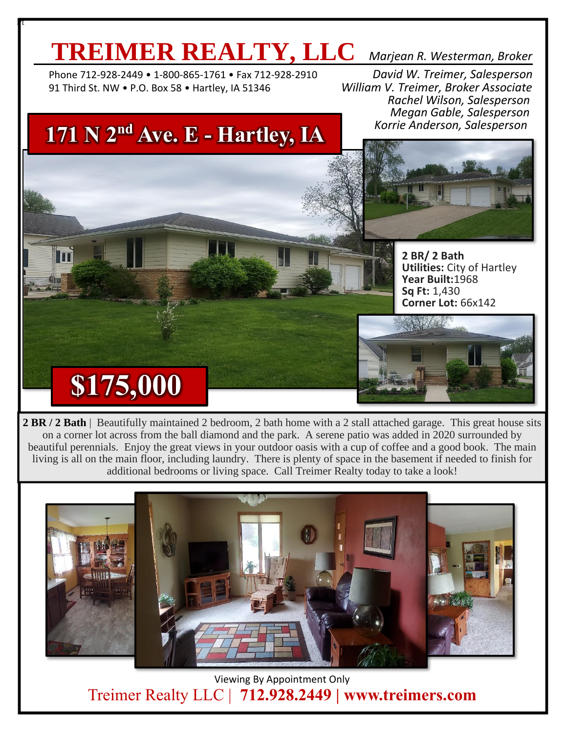## **TREIMER REALTY, LLC** *Marjean R. Westerman, Broker*

 Phone 712-928-2449 • 1-800-865-1761 • Fax 712-928-2910 *David W. Treimer, Salesperson* 91 Third St. NW • P.O. Box 58 • Hartley, IA 51346 *William V. Treimer, Broker Associate*

l<mark>i</mark>t

 *Rachel Wilson, Salesperson Megan Gable, Salesperson Korrie Anderson, Salesperson*

#### **171 N 2nd Ave. E - Hartley, IA**



**2 BR/ 2 Bath Utilities:** City of Hartley **Year Built:**1968 **Sq Ft:** 1,430 **Corner Lot:** 66x142



# **\$175,000**

**2 BR / 2 Bath** | Beautifully maintained 2 bedroom, 2 bath home with a 2 stall attached garage. This great house sits on a corner lot across from the ball diamond and the park. A serene patio was added in 2020 surrounded by beautiful perennials. Enjoy the great views in your outdoor oasis with a cup of coffee and a good book. The main living is all on the main floor, including laundry. There is plenty of space in the basement if needed to finish for additional bedrooms or living space. Call Treimer Realty today to take a look!



Viewing By Appointment Only Treimer Realty LLC | **712.928.2449 | www.treimers.com**